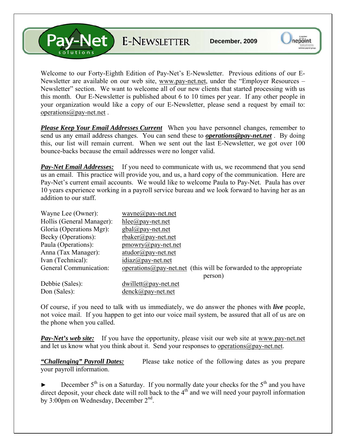V-Net E-NEWSLETTER

Welcome to our Forty-Eighth Edition of Pay-Net's E-Newsletter. Previous editions of our E-Newsletter are available on our web site, [www.pay-net.net](http://www.pay-net.net/), under the "Employer Resources – Newsletter" section. We want to welcome all of our new clients that started processing with us this month. Our E-Newsletter is published about 6 to 10 times per year. If any other people in your organization would like a copy of our E-Newsletter, please send a request by email to: [operations@pay-net.net](mailto:operations@pay-net.net) .

*Please Keep Your Email Addresses Current* When you have personnel changes, remember to send us any email address changes. You can send these to *[operations@pay-net.net](mailto:operations@pay-net.net)* . By doing this, our list will remain current. When we sent out the last E-Newsletter, we got over 100 bounce-backs because the email addresses were no longer valid.

**Pay-Net Email Addresses:** If you need to communicate with us, we recommend that you send us an email. This practice will provide you, and us, a hard copy of the communication. Here are Pay-Net's current email accounts. We would like to welcome Paula to Pay-Net. Paula has over 10 years experience working in a payroll service bureau and we look forward to having her as an addition to our staff.

| Wayne Lee (Owner):        | wayne@pay-net.net                                                          |
|---------------------------|----------------------------------------------------------------------------|
| Hollis (General Manager): | $hlee(\partial p$ ay-net.net                                               |
| Gloria (Operations Mgr):  | $\text{gbal}(a)$ pay-net.net                                               |
| Becky (Operations):       | $r$ baker@pay-net.net                                                      |
| Paula (Operations):       | $\text{p}$ mowry@pay-net.net                                               |
| Anna (Tax Manager):       | $atudor@pay-net.net$                                                       |
| Ivan (Technical):         | $idiaz(\partial p$ ay-net.net                                              |
| General Communication:    | operations $\omega$ pay-net net (this will be forwarded to the appropriate |
|                           | person)                                                                    |
| Debbie (Sales):           | $dwillet(\omega)$ pay-net.net                                              |
| Don (Sales):              | $denck@pay-net.net$                                                        |

Of course, if you need to talk with us immediately, we do answer the phones with *live* people, not voice mail. If you happen to get into our voice mail system, be assured that all of us are on the phone when you called.

**Pay-Net's web site:** If you have the opportunity, please visit our web site at www.pay-net.net and let us know what you think about it. Send your responses to [operations@pay-net.net](mailto:website@pay-net.net).

*"Challenging" Payroll Dates:* Please take notice of the following dates as you prepare your payroll information.

December  $5<sup>th</sup>$  is on a Saturday. If you normally date your checks for the  $5<sup>th</sup>$  and you have direct deposit, your check date will roll back to the  $4<sup>th</sup>$  and we will need your payroll information by 3:00pm on Wednesday, December 2<sup>nd</sup>.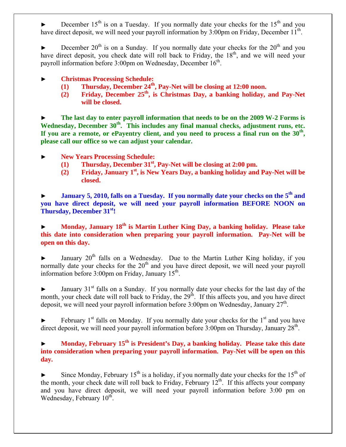December  $15<sup>th</sup>$  is on a Tuesday. If you normally date your checks for the  $15<sup>th</sup>$  and you have direct deposit, we will need your payroll information by  $3:00 \text{pm}$  on Friday, December  $11^{\text{th}}$ .

December  $20^{th}$  is on a Sunday. If you normally date your checks for the  $20^{th}$  and you have direct deposit, you check date will roll back to Friday, the  $18<sup>th</sup>$ , and we will need your payroll information before 3:00pm on Wednesday, December 16<sup>th</sup>.

- ► **Christmas Processing Schedule:** 
	- **(1) Thursday, December 24th, Pay-Net will be closing at 12:00 noon.**
	- **(2) Friday, December 25th, is Christmas Day, a banking holiday, and Pay-Net will be closed.**

The last day to enter payroll information that needs to be on the 2009 W-2 Forms is Wednesday, December 30<sup>th</sup>. This includes any final manual checks, adjustment runs, etc. **If you are a remote, or ePayentry client, and you need to process a final run on the 30th, please call our office so we can adjust your calendar.** 

- ► **New Years Processing Schedule:** 
	- **(1) Thursday, December 31st, Pay-Net will be closing at 2:00 pm.**
	- **(2) Friday, January 1st, is New Years Day, a banking holiday and Pay-Net will be closed.**

**January 5, 2010, falls on a Tuesday. If you normally date your checks on the 5<sup>th</sup> and you have direct deposit, we will need your payroll information BEFORE NOON on Thursday, December 31st!**

**Monday, January 18<sup>th</sup> is Martin Luther King Day, a banking holiday. Please take this date into consideration when preparing your payroll information. Pay-Net will be open on this day.** 

January  $20<sup>th</sup>$  falls on a Wednesday. Due to the Martin Luther King holiday, if you normally date your checks for the  $20<sup>th</sup>$  and you have direct deposit, we will need your payroll information before  $3:00 \text{pm}$  on Friday, January  $15^{\text{th}}$ .

 $\blacktriangleright$  January 31<sup>st</sup> falls on a Sunday. If you normally date your checks for the last day of the month, your check date will roll back to Friday, the  $29<sup>th</sup>$ . If this affects you, and you have direct deposit, we will need your payroll information before 3:00pm on Wednesday, January  $27<sup>th</sup>$ .

February  $1<sup>st</sup>$  falls on Monday. If you normally date your checks for the  $1<sup>st</sup>$  and you have direct deposit, we will need your payroll information before  $3:00 \text{pm}$  on Thursday, January  $28^{\text{th}}$ .

## Monday, February 15<sup>th</sup> is President's Day, a banking holiday. Please take this date **into consideration when preparing your payroll information. Pay-Net will be open on this day.**

Since Monday, February 15<sup>th</sup> is a holiday, if you normally date your checks for the 15<sup>th</sup> of the month, your check date will roll back to Friday, February  $12<sup>th</sup>$ . If this affects your company and you have direct deposit, we will need your payroll information before 3:00 pm on Wednesday, February  $10^{th}$ .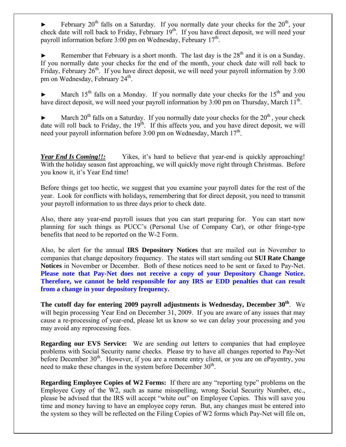February  $20<sup>th</sup>$  falls on a Saturday. If you normally date your checks for the  $20<sup>th</sup>$ , your check date will roll back to Friday, February  $19<sup>th</sup>$ . If you have direct deposit, we will need your payroll information before 3:00 pm on Wednesday, February  $17<sup>th</sup>$ .

Remember that February is a short month. The last day is the  $28<sup>th</sup>$  and it is on a Sunday. If you normally date your checks for the end of the month, your check date will roll back to Friday, February  $26<sup>th</sup>$ . If you have direct deposit, we will need your payroll information by 3:00 pm on Wednesday, February  $24<sup>th</sup>$ .

March  $15<sup>th</sup>$  falls on a Monday. If you normally date your checks for the  $15<sup>th</sup>$  and you have direct deposit, we will need your payroll information by  $3:00$  pm on Thursday, March  $11<sup>th</sup>$ .

March  $20^{th}$  falls on a Saturday. If you normally date your checks for the  $20^{th}$ , your check date will roll back to Friday, the  $19^{th}$ . If this affects you, and you have direct deposit, we will need your payroll information before  $3:00$  pm on Wednesday, March  $17<sup>th</sup>$ .

*Year End Is Coming!!:* Yikes, it's hard to believe that year-end is quickly approaching! With the holiday season fast approaching, we will quickly move right through Christmas. Before you know it, it's Year End time!

Before things get too hectic, we suggest that you examine your payroll dates for the rest of the year. Look for conflicts with holidays, remembering that for direct deposit, you need to transmit your payroll information to us three days prior to check date.

Also, there any year-end payroll issues that you can start preparing for. You can start now planning for such things as PUCC's (Personal Use of Company Car), or other fringe-type benefits that need to be reported on the W-2 Form.

Also, be alert for the annual **IRS Depository Notices** that are mailed out in November to companies that change depository frequency. The states will start sending out **SUI Rate Change Notices** in November or December. Both of these notices need to be sent or faxed to Pay-Net. **Please note that Pay-Net does not receive a copy of your Depository Change Notice. Therefore, we cannot be held responsible for any IRS or EDD penalties that can result from a change in your depository frequency.**

The cutoff day for entering 2009 payroll adjustments is Wednesday, December 30<sup>th</sup>. We will begin processing Year End on December 31, 2009. If you are aware of any issues that may cause a re-processing of year-end, please let us know so we can delay your processing and you may avoid any reprocessing fees.

**Regarding our EVS Service:** We are sending out letters to companies that had employee problems with Social Security name checks. Please try to have all changes reported to Pay-Net before December 30<sup>th</sup>. However, if you are a remote entry client, or you are on ePayentry, you need to make these changes in the system before December  $30<sup>th</sup>$ .

**Regarding Employee Copies of W2 Forms:** If there are any "reporting type" problems on the Employee Copy of the W2, such as name misspelling, wrong Social Security Number, etc., please be advised that the IRS will accept "white out" on Employee Copies. This will save you time and money having to have an employee copy rerun. But, any changes must be entered into the system so they will be reflected on the Filing Copies of W2 forms which Pay-Net will file on,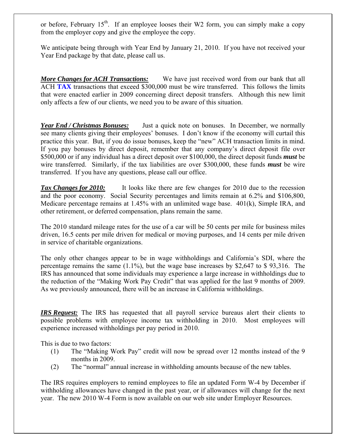or before, February 15<sup>th</sup>. If an employee looses their W2 form, you can simply make a copy from the employer copy and give the employee the copy.

We anticipate being through with Year End by January 21, 2010. If you have not received your Year End package by that date, please call us.

*More Changes for ACH Transactions:* We have just received word from our bank that all ACH **TAX** transactions that exceed \$300,000 must be wire transferred. This follows the limits that were enacted earlier in 2009 concerning direct deposit transfers. Although this new limit only affects a few of our clients, we need you to be aware of this situation.

*Year End / Christmas Bonuses:* Just a quick note on bonuses. In December, we normally see many clients giving their employees' bonuses. I don't know if the economy will curtail this practice this year. But, if you do issue bonuses, keep the "new" ACH transaction limits in mind. If you pay bonuses by direct deposit, remember that any company's direct deposit file over \$500,000 or if any individual has a direct deposit over \$100,000, the direct deposit funds *must* be wire transferred. Similarly, if the tax liabilities are over \$300,000, these funds *must* be wire transferred. If you have any questions, please call our office.

*Tax Changes for 2010:* It looks like there are few changes for 2010 due to the recession and the poor economy. Social Security percentages and limits remain at 6.2% and \$106,800, Medicare percentage remains at 1.45% with an unlimited wage base. 401(k), Simple IRA, and other retirement, or deferred compensation, plans remain the same.

The 2010 standard mileage rates for the use of a car will be 50 cents per mile for business miles driven, 16.5 cents per mile driven for medical or moving purposes, and 14 cents per mile driven in service of charitable organizations.

The only other changes appear to be in wage withholdings and California's SDI, where the percentage remains the same (1.1%), but the wage base increases by \$2,647 to \$ 93,316. The IRS has announced that some individuals may experience a large increase in withholdings due to the reduction of the "Making Work Pay Credit" that was applied for the last 9 months of 2009. As we previously announced, there will be an increase in California withholdings.

*IRS Request:* The IRS has requested that all payroll service bureaus alert their clients to possible problems with employee income tax withholding in 2010. Most employees will experience increased withholdings per pay period in 2010.

This is due to two factors:

- (1) The "Making Work Pay" credit will now be spread over 12 months instead of the 9 months in 2009.
- (2) The "normal" annual increase in withholding amounts because of the new tables.

The IRS requires employers to remind employees to file an updated Form W-4 by December if withholding allowances have changed in the past year, or if allowances will change for the next year. The new 2010 W-4 Form is now available on our web site under Employer Resources.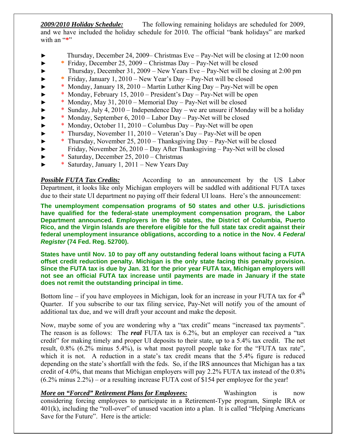*2009/2010 Holiday Schedule:* The following remaining holidays are scheduled for 2009, and we have included the holiday schedule for 2010. The official "bank holidays" are marked with an "\*"

- ► Thursday, December 24, 2009– Christmas Eve Pay-Net will be closing at 12:00 noon
- ► **\*** Friday, December 25, 2009 Christmas Day Pay-Net will be closed
- ► Thursday, December 31, 2009 New Years Eve Pay-Net will be closing at 2:00 pm
- ► **\*** Friday, January 1, 2010 New Year's Day Pay-Net will be closed
- ► \* Monday, January 18, 2010 Martin Luther King Day Pay-Net will be open
- ► \* Monday, February 15, 2010 President's Day Pay-Net will be open
- \* Monday, May 31, 2010 Memorial Day Pay-Net will be closed
- ► \* Sunday, July 4, 2010 Independence Day we are unsure if Monday will be a holiday
- ► \* Monday, September 6, 2010 Labor Day Pay-Net will be closed
- ► \* Monday, October 11, 2010 Columbus Day Pay-Net will be open
- ► \* Thursday, November 11, 2010 Veteran's Day Pay-Net will be open
- ► \* Thursday, November 25, 2010 Thanksgiving Day Pay-Net will be closed
- ► Friday, November 26, 2010 Day After Thanksgiving Pay-Net will be closed
- ► \* Saturday, December 25, 2010 Christmas
- ► \* Saturday, January 1, 2011 New Years Day

*Possible FUTA Tax Credits:* According to an announcement by the US Labor Department, it looks like only Michigan employers will be saddled with additional FUTA taxes due to their state UI department no paying off their federal UI loans. Here's the announcement:

**The unemployment compensation programs of 50 states and other U.S. jurisdictions have qualified for the federal-state unemployment compensation program, the Labor Department announced. Employers in the 50 states, the District of Columbia, Puerto Rico, and the Virgin Islands are therefore eligible for the full state tax credit against their federal unemployment insurance obligations, according to a notice in the Nov. 4** *Federal Register* **(74 Fed. Reg. 52700).** 

**States have until Nov. 10 to pay off any outstanding federal loans without facing a FUTA offset credit reduction penalty. Michigan is the only state facing this penalty provision. Since the FUTA tax is due by Jan. 31 for the prior year FUTA tax, Michigan employers will not see an official FUTA tax increase until payments are made in January if the state does not remit the outstanding principal in time.** 

Bottom line – if you have employees in Michigan, look for an increase in your FUTA tax for  $4<sup>th</sup>$ Quarter. If you subscribe to our tax filing service, Pay-Net will notify you of the amount of additional tax due, and we will draft your account and make the deposit.

Now, maybe some of you are wondering why a "tax credit" means "increased tax payments". The reason is as follows: The *real* FUTA tax is 6.2%, but an employer can received a "tax credit" for making timely and proper UI deposits to their state, up to a 5.4% tax credit. The net result, 0.8% (6.2% minus 5.4%), is what most payroll people take for the "FUTA tax rate", which it is not. A reduction in a state's tax credit means that the 5.4% figure is reduced depending on the state's shortfall with the feds. So, if the IRS announces that Michigan has a tax credit of 4.0%, that means that Michigan employers will pay 2.2% FUTA tax instead of the 0.8% (6.2% minus 2.2%) – or a resulting increase FUTA cost of \$154 per employee for the year!

*More on "Forced" Retirement Plans for Employees:* Washington is now considering forcing employees to participate in a Retirement-Type program, Simple IRA or 401(k), including the "roll-over" of unused vacation into a plan. It is called "Helping Americans Save for the Future". Here is the article: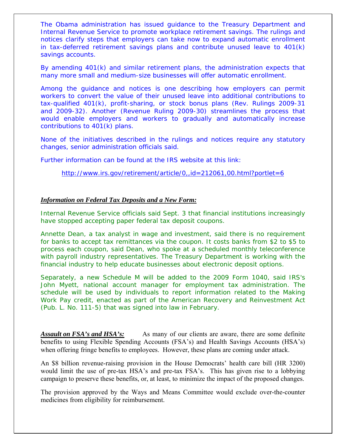The Obama administration has issued guidance to the Treasury Department and Internal Revenue Service to promote workplace retirement savings. The rulings and notices clarify steps that employers can take now to expand automatic enrollment in tax-deferred retirement savings plans and contribute unused leave to 401(k) savings accounts.

By amending 401(k) and similar retirement plans, the administration expects that many more small and medium-size businesses will offer automatic enrollment.

Among the guidance and notices is one describing how employers can permit workers to convert the value of their unused leave into additional contributions to tax-qualified 401(k), profit-sharing, or stock bonus plans (Rev. Rulings 2009-31 and 2009-32). Another (Revenue Ruling 2009-30) streamlines the process that would enable employers and workers to gradually and automatically increase contributions to 401(k) plans.

None of the initiatives described in the rulings and notices require any statutory changes, senior administration officials said.

Further information can be found at the IRS website at this link:

<http://www.irs.gov/retirement/article/0,,id=212061,00.html?portlet=6>

### *Information on Federal Tax Deposits and a New Form:*

Internal Revenue Service officials said Sept. 3 that financial institutions increasingly have stopped accepting paper federal tax deposit coupons.

Annette Dean, a tax analyst in wage and investment, said there is no requirement for banks to accept tax remittances via the coupon. It costs banks from \$2 to \$5 to process each coupon, said Dean, who spoke at a scheduled monthly teleconference with payroll industry representatives. The Treasury Department is working with the financial industry to help educate businesses about electronic deposit options.

Separately, a new Schedule M will be added to the 2009 Form 1040, said IRS's John Myett, national account manager for employment tax administration. The schedule will be used by individuals to report information related to the Making Work Pay credit, enacted as part of the American Recovery and Reinvestment Act (Pub. L. No. 111-5) that was signed into law in February.

*Assault on FSA's and HSA's:* As many of our clients are aware, there are some definite benefits to using Flexible Spending Accounts (FSA's) and Health Savings Accounts (HSA's) when offering fringe benefits to employees. However, these plans are coming under attack.

An \$8 billion revenue-raising provision in the House Democrats' health care bill (HR 3200) would limit the use of pre-tax HSA's and pre-tax FSA's. This has given rise to a lobbying campaign to preserve these benefits, or, at least, to minimize the impact of the proposed changes.

The provision approved by the Ways and Means Committee would exclude over-the-counter medicines from eligibility for reimbursement.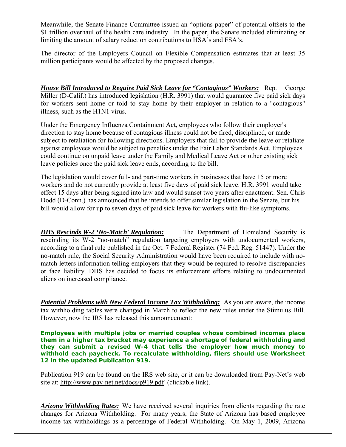Meanwhile, the Senate Finance Committee issued an "options paper" of potential offsets to the \$1 trillion overhaul of the health care industry. In the paper, the Senate included eliminating or limiting the amount of salary reduction contributions to HSA's and FSA's.

The director of the Employers Council on Flexible Compensation estimates that at least 35 million participants would be affected by the proposed changes.

*House Bill Introduced to Require Paid Sick Leave for "Contagious" Workers:* Rep. George Miller (D-Calif.) has introduced legislation (H.R. 3991) that would guarantee five paid sick days for workers sent home or told to stay home by their employer in relation to a "contagious" illness, such as the H1N1 virus.

Under the Emergency Influenza Containment Act, employees who follow their employer's direction to stay home because of contagious illness could not be fired, disciplined, or made subject to retaliation for following directions. Employers that fail to provide the leave or retaliate against employees would be subject to penalties under the Fair Labor Standards Act. Employees could continue on unpaid leave under the Family and Medical Leave Act or other existing sick leave policies once the paid sick leave ends, according to the bill.

The legislation would cover full- and part-time workers in businesses that have 15 or more workers and do not currently provide at least five days of paid sick leave. H.R. 3991 would take effect 15 days after being signed into law and would sunset two years after enactment. Sen. Chris Dodd (D-Conn.) has announced that he intends to offer similar legislation in the Senate, but his bill would allow for up to seven days of paid sick leave for workers with flu-like symptoms.

*DHS Rescinds W-2 'No-Match' Regulation:* The Department of Homeland Security is rescinding its W-2 "no-match" regulation targeting employers with undocumented workers, according to a final rule published in the Oct. 7 Federal Register (74 Fed. Reg. 51447). Under the no-match rule, the Social Security Administration would have been required to include with nomatch letters information telling employers that they would be required to resolve discrepancies or face liability. DHS has decided to focus its enforcement efforts relating to undocumented aliens on increased compliance.

*Potential Problems with New Federal Income Tax Withholding:* As you are aware, the income tax withholding tables were changed in March to reflect the new rules under the Stimulus Bill. However, now the IRS has released this announcement:

**Employees with multiple jobs or married couples whose combined incomes place them in a higher tax bracket may experience a shortage of federal withholding and they can submit a revised W-4 that tells the employer how much money to withhold each paycheck. To recalculate withholding, filers should use Worksheet 12 in the updated Publication 919.** 

Publication 919 can be found on the IRS web site, or it can be downloaded from Pay-Net's web site at: <http://www.pay-net.net/docs/p919.pdf>(clickable link).

*Arizona Withholding Rates:* We have received several inquiries from clients regarding the rate changes for Arizona Withholding. For many years, the State of Arizona has based employee income tax withholdings as a percentage of Federal Withholding. On May 1, 2009, Arizona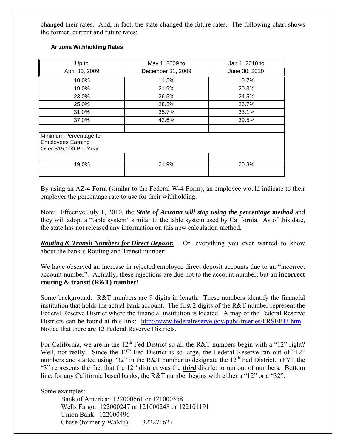changed their rates. And, in fact, the state changed the future rates. The following chart shows the former, current and future rates:

| Up to                                                                        | May 1, 2009 to    | Jan 1, 2010 to |
|------------------------------------------------------------------------------|-------------------|----------------|
| April 30, 2009                                                               | December 31, 2009 | June 30, 2010  |
| 10.0%                                                                        | 11.5%             | 10.7%          |
| 19.0%                                                                        | 21.9%             | 20.3%          |
| 23.0%                                                                        | 26.5%             | 24.5%          |
| 25.0%                                                                        | 28.8%             | 26.7%          |
| 31.0%                                                                        | 35.7%             | 33.1%          |
| 37.0%                                                                        | 42.6%             | 39.5%          |
| Minimum Percentage for<br><b>Employees Earning</b><br>Over \$15,000 Per Year |                   |                |
| 19.0%                                                                        | 21.9%             | 20.3%          |

#### **Arizona Withholding Rates**

By using an AZ-4 Form (similar to the Federal W-4 Form), an employee would indicate to their employer the percentage rate to use for their withholding.

Note: Effective July 1, 2010, the *State of Arizona will stop using the percentage method* and they will adopt a "table system" similar to the table system used by California. As of this date, the state has not released any information on this new calculation method.

*Routing & Transit Numbers for Direct Deposit:* Or, everything you ever wanted to know about the bank's Routing and Transit number:

We have observed an increase in rejected employee direct deposit accounts due to an "incorrect account number". Actually, these rejections are due not to the account number, but an **incorrect routing & transit (R&T) number**!

Some background: R&T numbers are 9 digits in length. These numbers identify the financial institution that holds the actual bank account. The first 2 digits of the R&T number represent the Federal Reserve District where the financial institution is located. A map of the Federal Reserve Districts can be found at this link: http://www.federalreserve.gov/pubs/frseries/FRSERI3.htm. Notice that there are 12 Federal Reserve Districts.

For California, we are in the 12<sup>th</sup> Fed District so all the R&T numbers begin with a "12" right? Well, not really. Since the  $12<sup>th</sup>$  Fed District is so large, the Federal Reserve ran out of "12" numbers and started using "32" in the R&T number to designate the  $12<sup>th</sup>$  Fed District. (FYI, the "3" represents the fact that the  $12<sup>th</sup>$  district was the *third* district to run out of numbers. Bottom line, for any California based banks, the R&T number begins with either a "12" or a "32".

Some examples:

 Bank of America: 122000661 or 121000358 Wells Fargo: 122000247 or 121000248 or 122101191 Union Bank: 122000496 Chase (formerly WaMu): 322271627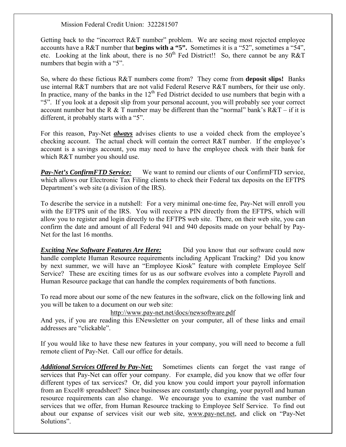#### Mission Federal Credit Union: 322281507

Getting back to the "incorrect R&T number" problem. We are seeing most rejected employee accounts have a R&T number that **begins with a "5".** Sometimes it is a "52", sometimes a "54", etc. Looking at the link about, there is no  $50<sup>th</sup>$  Fed District!! So, there cannot be any R&T numbers that begin with a "5".

So, where do these fictious R&T numbers come from? They come from **deposit slips!** Banks use internal R&T numbers that are not valid Federal Reserve R&T numbers, for their use only. In practice, many of the banks in the  $12<sup>th</sup>$  Fed District decided to use numbers that begin with a "5". If you look at a deposit slip from your personal account, you will probably see your correct account number but the R  $&$  T number may be different than the "normal" bank's R $&$ T – if it is different, it probably starts with a "5".

For this reason, Pay-Net *always* advises clients to use a voided check from the employee's checking account. The actual check will contain the correct R&T number. If the employee's account is a savings account, you may need to have the employee check with their bank for which R&T number you should use.

*Pay-Net's ConfirmFTD Service:* We want to remind our clients of our ConfirmFTD service, which allows our Electronic Tax Filing clients to check their Federal tax deposits on the EFTPS Department's web site (a division of the IRS).

To describe the service in a nutshell: For a very minimal one-time fee, Pay-Net will enroll you with the EFTPS unit of the IRS. You will receive a PIN directly from the EFTPS, which will allow you to register and login directly to the EFTPS web site. There, on their web site, you can confirm the date and amount of all Federal 941 and 940 deposits made on your behalf by Pay-Net for the last 16 months.

**Exciting New Software Features Are Here:** Did you know that our software could now handle complete Human Resource requirements including Applicant Tracking? Did you know by next summer, we will have an "Employee Kiosk" feature with complete Employee Self Service? These are exciting times for us as our software evolves into a complete Payroll and Human Resource package that can handle the complex requirements of both functions.

To read more about our some of the new features in the software, click on the following link and you will be taken to a document on our web site:

#### <http://www.pay-net.net/docs/newsoftware.pdf>

And yes, if you are reading this ENewsletter on your computer, all of these links and email addresses are "clickable".

If you would like to have these new features in your company, you will need to become a full remote client of Pay-Net. Call our office for details.

*Additional Services Offered by Pay-Net:* Sometimes clients can forget the vast range of services that Pay-Net can offer your company. For example, did you know that we offer four different types of tax services? Or, did you know you could import your payroll information from an Excel® spreadsheet? Since businesses are constantly changing, your payroll and human resource requirements can also change. We encourage you to examine the vast number of services that we offer, from Human Resource tracking to Employee Self Service. To find out about our expanse of services visit our web site, [www.pay-net.net,](http://www.pay-net.net/) and click on "Pay-Net Solutions".